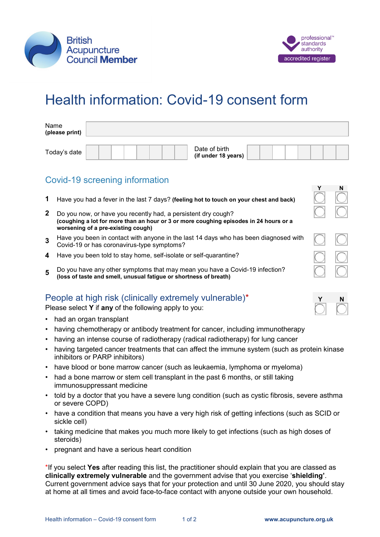



# Health information: Covid-19 consent form

| Name<br>(please print) |  |                                      |  |  |  |
|------------------------|--|--------------------------------------|--|--|--|
| Today's date           |  | Date of birth<br>(if under 18 years) |  |  |  |

## Covid-19 screening information

- **1** Have you had a fever in the last 7 days? **(feeling hot to touch on your chest and back)**
- **2** Do you now, or have you recently had, a persistent dry cough? **(coughing a lot for more than an hour or 3 or more coughing episodes in 24 hours or a worsening of a pre-existing cough)**
- **3** Have you been in contact with anyone in the last 14 days who has been diagnosed with Covid-19 or has coronavirus-type symptoms?
- **4** Have you been told to stay home, self-isolate or self-quarantine?
- **5** Do you have any other symptoms that may mean you have a Covid-19 infection? **(loss of taste and smell, unusual fatigue or shortness of breath)**

## People at high risk (clinically extremely vulnerable)<sup>\*</sup>

Please select **Y** if **any** of the following apply to you:

- had an organ transplant
- having chemotherapy or antibody treatment for cancer, including immunotherapy
- having an intense course of radiotherapy (radical radiotherapy) for lung cancer
- having targeted cancer treatments that can affect the immune system (such as protein kinase inhibitors or PARP inhibitors)
- have blood or bone marrow cancer (such as leukaemia, lymphoma or myeloma)
- had a bone marrow or stem cell transplant in the past 6 months, or still taking immunosuppressant medicine
- told by a doctor that you have a severe lung condition (such as cystic fibrosis, severe asthma or severe COPD)
- have a condition that means you have a very high risk of getting infections (such as SCID or sickle cell)
- taking medicine that makes you much more likely to get infections (such as high doses of steroids)
- pregnant and have a serious heart condition

\*If you select **Yes** after reading this list, the practitioner should explain that you are classed as **clinically extremely vulnerable** and the government advise that you exercise '**shielding'**. Current government advice says that for your protection and until 30 June 2020, you should stay at home at all times and avoid face-to-face contact with anyone outside your own household.

K

 $\overline{\mathcal{C}}$ 

 $\overline{\mathcal{K}}$ 

**Y N**

| J<br>ľ |  |  |
|--------|--|--|
|        |  |  |